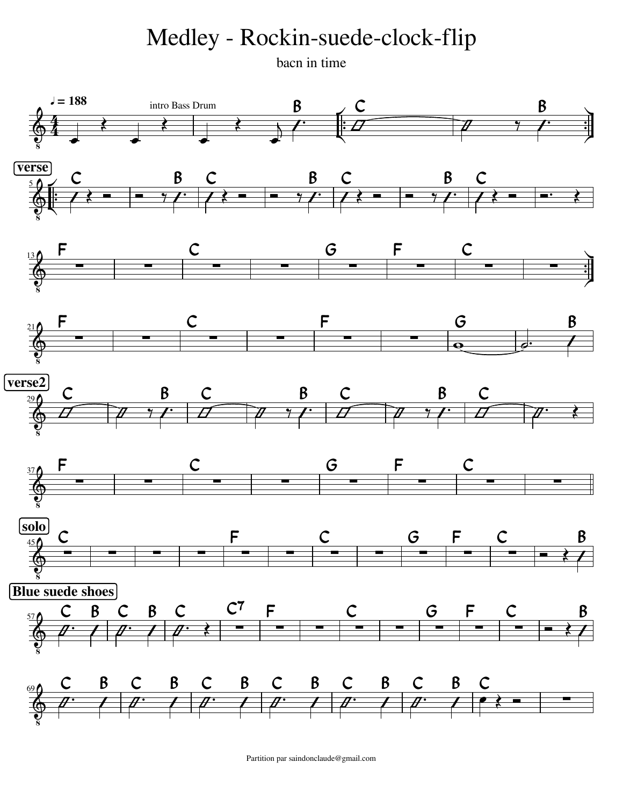## Medley - Rockin-suede-clock-flip

bacn in time



Partition par saindonclaude@gmail.com